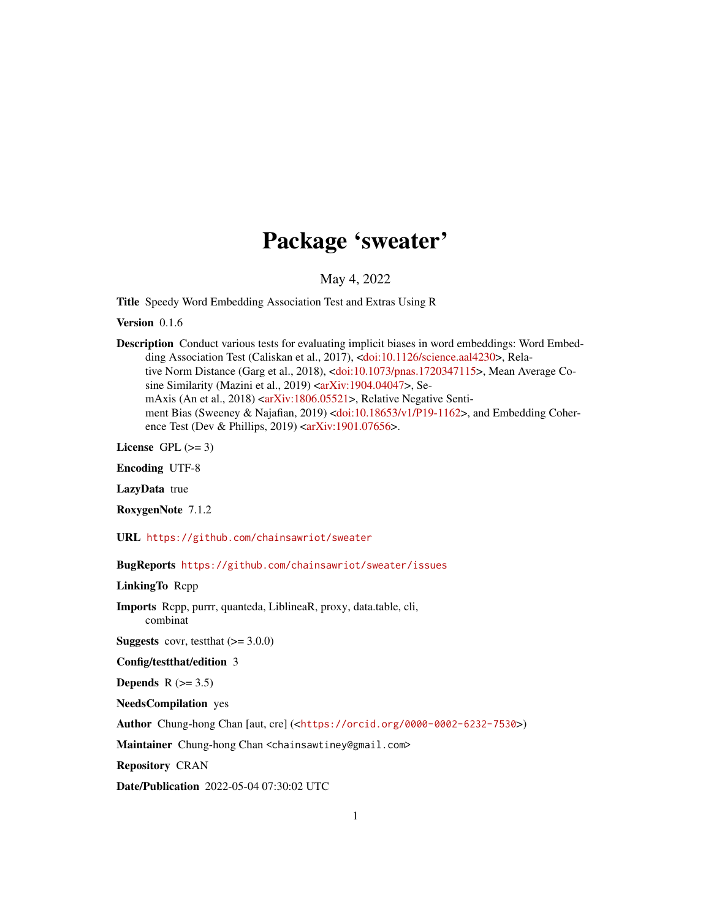# Package 'sweater'

May 4, 2022

<span id="page-0-0"></span>Title Speedy Word Embedding Association Test and Extras Using R

Version 0.1.6

Description Conduct various tests for evaluating implicit biases in word embeddings: Word Embed-ding Association Test (Caliskan et al., 2017), [<doi:10.1126/science.aal4230>](https://doi.org/10.1126/science.aal4230), Relative Norm Distance (Garg et al., 2018), [<doi:10.1073/pnas.1720347115>](https://doi.org/10.1073/pnas.1720347115), Mean Average Co-sine Similarity (Mazini et al., 2019) [<arXiv:1904.04047>](https://arxiv.org/abs/1904.04047), Se-mAxis (An et al., 2018) [<arXiv:1806.05521>](https://arxiv.org/abs/1806.05521), Relative Negative Sentiment Bias (Sweeney & Najafian, 2019) [<doi:10.18653/v1/P19-1162>](https://doi.org/10.18653/v1/P19-1162), and Embedding Coherence Test (Dev & Phillips, 2019)  $\langle \text{arXiv:1901.07656} \rangle$ .

License GPL  $(>= 3)$ 

Encoding UTF-8

LazyData true

RoxygenNote 7.1.2

URL <https://github.com/chainsawriot/sweater>

BugReports <https://github.com/chainsawriot/sweater/issues>

LinkingTo Rcpp

Imports Rcpp, purrr, quanteda, LiblineaR, proxy, data.table, cli, combinat

**Suggests** covr, test that  $(>= 3.0.0)$ 

Config/testthat/edition 3

Depends  $R$  ( $>= 3.5$ )

NeedsCompilation yes

Author Chung-hong Chan [aut, cre] (<<https://orcid.org/0000-0002-6232-7530>>)

Maintainer Chung-hong Chan <chainsawtiney@gmail.com>

Repository CRAN

Date/Publication 2022-05-04 07:30:02 UTC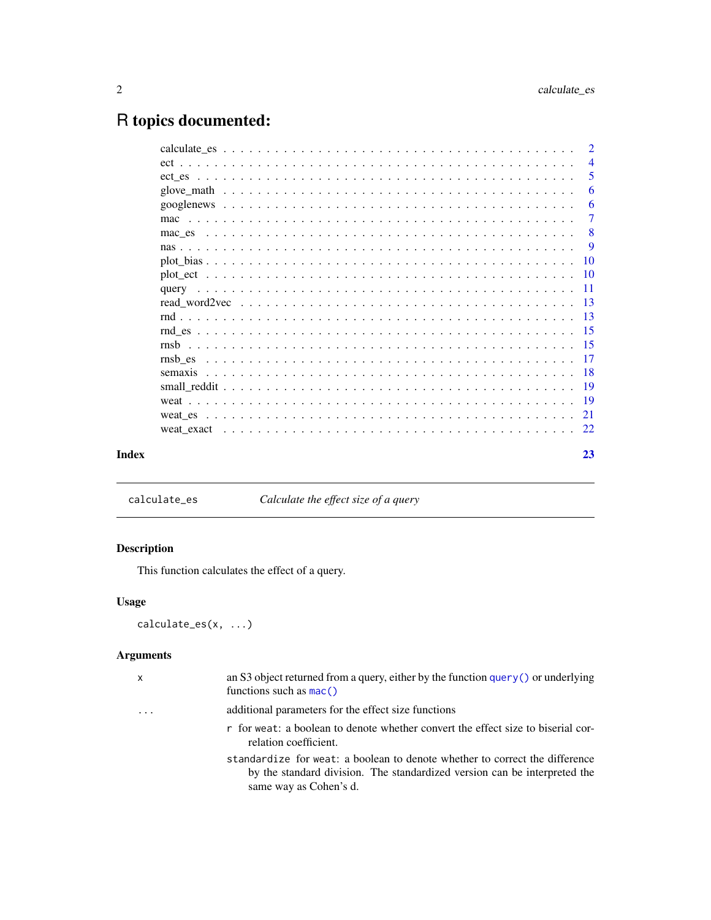## <span id="page-1-0"></span>R topics documented:

|       | $\overline{2}$ |
|-------|----------------|
|       | $\overline{4}$ |
|       | 5              |
|       | 6              |
|       | -6             |
|       | $\overline{7}$ |
|       | -8             |
|       | -9             |
|       |                |
|       |                |
|       |                |
|       |                |
|       |                |
|       |                |
|       |                |
|       |                |
|       |                |
|       |                |
|       |                |
|       |                |
|       |                |
|       |                |
| Index | 23             |

<span id="page-1-1"></span>calculate\_es *Calculate the effect size of a query*

### Description

This function calculates the effect of a query.

### Usage

calculate\_es(x, ...)

### Arguments

| X                       | an S3 object returned from a query, either by the function $query()$ or underlying<br>functions such as $mac()$                                                                    |
|-------------------------|------------------------------------------------------------------------------------------------------------------------------------------------------------------------------------|
| $\cdot$ $\cdot$ $\cdot$ | additional parameters for the effect size functions                                                                                                                                |
|                         | r for weat: a boolean to denote whether convert the effect size to biserial cor-<br>relation coefficient.                                                                          |
|                         | standardize for weat: a boolean to denote whether to correct the difference<br>by the standard division. The standardized version can be interpreted the<br>same way as Cohen's d. |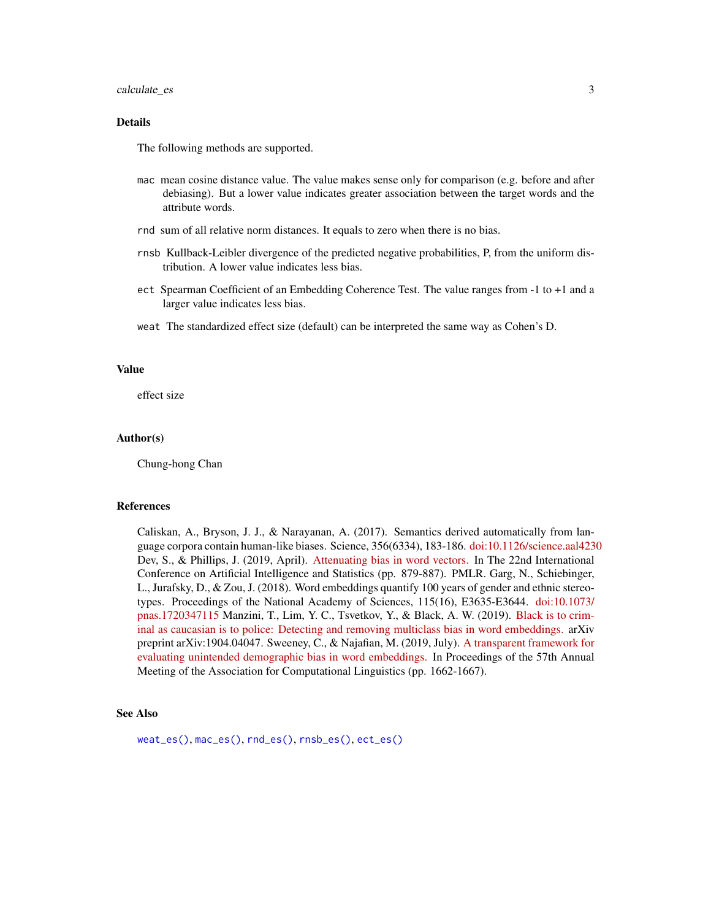#### <span id="page-2-0"></span>calculate\_es 3

#### Details

The following methods are supported.

- mac mean cosine distance value. The value makes sense only for comparison (e.g. before and after debiasing). But a lower value indicates greater association between the target words and the attribute words.
- rnd sum of all relative norm distances. It equals to zero when there is no bias.
- rnsb Kullback-Leibler divergence of the predicted negative probabilities, P, from the uniform distribution. A lower value indicates less bias.
- ect Spearman Coefficient of an Embedding Coherence Test. The value ranges from -1 to +1 and a larger value indicates less bias.
- weat The standardized effect size (default) can be interpreted the same way as Cohen's D.

#### Value

effect size

#### Author(s)

Chung-hong Chan

#### References

Caliskan, A., Bryson, J. J., & Narayanan, A. (2017). Semantics derived automatically from language corpora contain human-like biases. Science, 356(6334), 183-186. [doi:10.1126/science.aal4230](https://doi.org/10.1126/science.aal4230) Dev, S., & Phillips, J. (2019, April). [Attenuating bias in word vectors.](https://proceedings.mlr.press/v89/dev19a.html) In The 22nd International Conference on Artificial Intelligence and Statistics (pp. 879-887). PMLR. Garg, N., Schiebinger, L., Jurafsky, D., & Zou, J. (2018). Word embeddings quantify 100 years of gender and ethnic stereotypes. Proceedings of the National Academy of Sciences, 115(16), E3635-E3644. [doi:10.1073/](https://doi.org/10.1073/pnas.1720347115) [pnas.1720347115](https://doi.org/10.1073/pnas.1720347115) Manzini, T., Lim, Y. C., Tsvetkov, Y., & Black, A. W. (2019). [Black is to crim](https://arxiv.org/abs/1904.04047)[inal as caucasian is to police: Detecting and removing multiclass bias in word embeddings.](https://arxiv.org/abs/1904.04047) arXiv preprint arXiv:1904.04047. Sweeney, C., & Najafian, M. (2019, July). [A transparent framework for](https://aclanthology.org/P19-1162/) [evaluating unintended demographic bias in word embeddings.](https://aclanthology.org/P19-1162/) In Proceedings of the 57th Annual Meeting of the Association for Computational Linguistics (pp. 1662-1667).

#### See Also

[weat\\_es\(\)](#page-20-1), [mac\\_es\(\)](#page-7-1), [rnd\\_es\(\)](#page-14-1), [rnsb\\_es\(\)](#page-16-1), [ect\\_es\(\)](#page-4-1)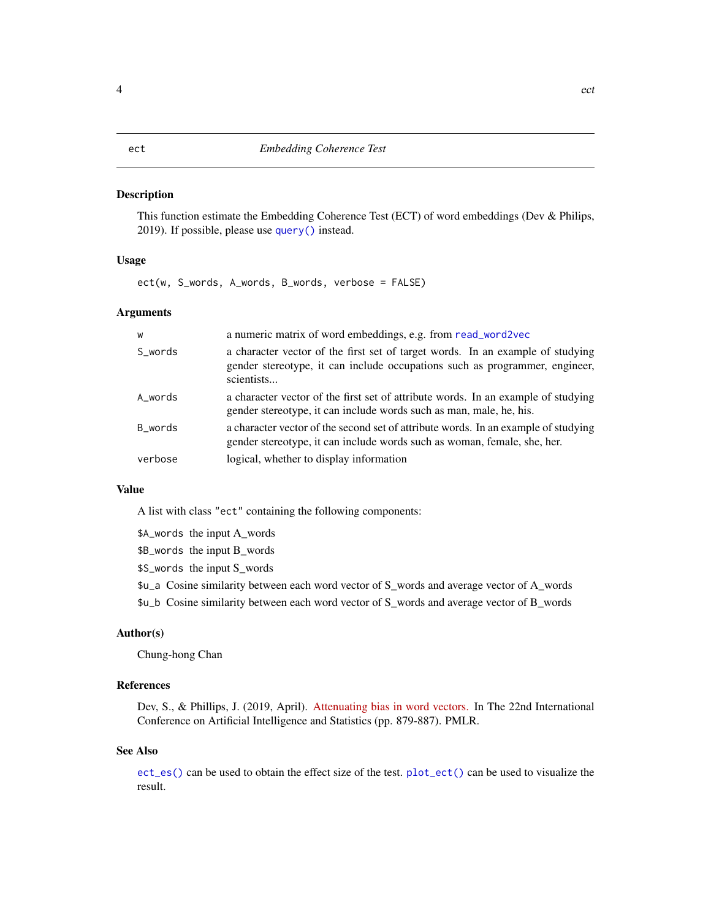<span id="page-3-1"></span><span id="page-3-0"></span>This function estimate the Embedding Coherence Test (ECT) of word embeddings (Dev & Philips, 2019). If possible, please use [query\(\)](#page-10-1) instead.

#### Usage

ect(w, S\_words, A\_words, B\_words, verbose = FALSE)

#### Arguments

| W       | a numeric matrix of word embeddings, e.g. from read_word2vec                                                                                                                |
|---------|-----------------------------------------------------------------------------------------------------------------------------------------------------------------------------|
| S_words | a character vector of the first set of target words. In an example of studying<br>gender stereotype, it can include occupations such as programmer, engineer,<br>scientists |
| A_words | a character vector of the first set of attribute words. In an example of studying<br>gender stereotype, it can include words such as man, male, he, his.                    |
| B_words | a character vector of the second set of attribute words. In an example of studying<br>gender stereotype, it can include words such as woman, female, she, her.              |
| verbose | logical, whether to display information                                                                                                                                     |

#### Value

A list with class "ect" containing the following components:

\$A\_words the input A\_words

\$B\_words the input B\_words

\$S\_words the input S\_words

- \$u\_a Cosine similarity between each word vector of S\_words and average vector of A\_words
- \$u\_b Cosine similarity between each word vector of S\_words and average vector of B\_words

#### Author(s)

Chung-hong Chan

#### References

Dev, S., & Phillips, J. (2019, April). [Attenuating bias in word vectors.](https://proceedings.mlr.press/v89/dev19a.html) In The 22nd International Conference on Artificial Intelligence and Statistics (pp. 879-887). PMLR.

#### See Also

[ect\\_es\(\)](#page-4-1) can be used to obtain the effect size of the test. [plot\\_ect\(\)](#page-9-1) can be used to visualize the result.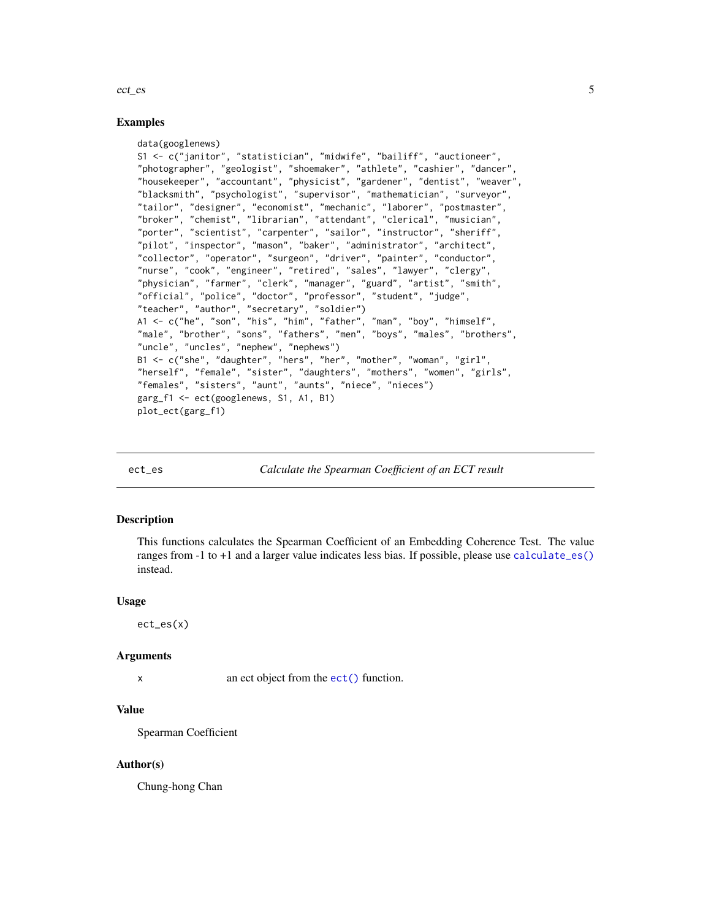#### <span id="page-4-0"></span>ect\_es 5

#### Examples

```
data(googlenews)
S1 <- c("janitor", "statistician", "midwife", "bailiff", "auctioneer",
"photographer", "geologist", "shoemaker", "athlete", "cashier", "dancer",
"housekeeper", "accountant", "physicist", "gardener", "dentist", "weaver",
"blacksmith", "psychologist", "supervisor", "mathematician", "surveyor",
"tailor", "designer", "economist", "mechanic", "laborer", "postmaster",
"broker", "chemist", "librarian", "attendant", "clerical", "musician",
"porter", "scientist", "carpenter", "sailor", "instructor", "sheriff",
"pilot", "inspector", "mason", "baker", "administrator", "architect",
"collector", "operator", "surgeon", "driver", "painter", "conductor",
"nurse", "cook", "engineer", "retired", "sales", "lawyer", "clergy",
"physician", "farmer", "clerk", "manager", "guard", "artist", "smith",
"official", "police", "doctor", "professor", "student", "judge",
"teacher", "author", "secretary", "soldier")
A1 <- c("he", "son", "his", "him", "father", "man", "boy", "himself",
"male", "brother", "sons", "fathers", "men", "boys", "males", "brothers",
"uncle", "uncles", "nephew", "nephews")
B1 <- c("she", "daughter", "hers", "her", "mother", "woman", "girl",
"herself", "female", "sister", "daughters", "mothers", "women", "girls",
"females", "sisters", "aunt", "aunts", "niece", "nieces")
garg_f1 <- ect(googlenews, S1, A1, B1)
plot_ect(garg_f1)
```
ect\_es *Calculate the Spearman Coefficient of an ECT result*

#### Description

This functions calculates the Spearman Coefficient of an Embedding Coherence Test. The value ranges from -1 to +1 and a larger value indicates less bias. If possible, please use [calculate\\_es\(\)](#page-1-1) instead.

#### Usage

ect\_es(x)

#### Arguments

x an ect object from the ect () function.

#### Value

Spearman Coefficient

#### Author(s)

Chung-hong Chan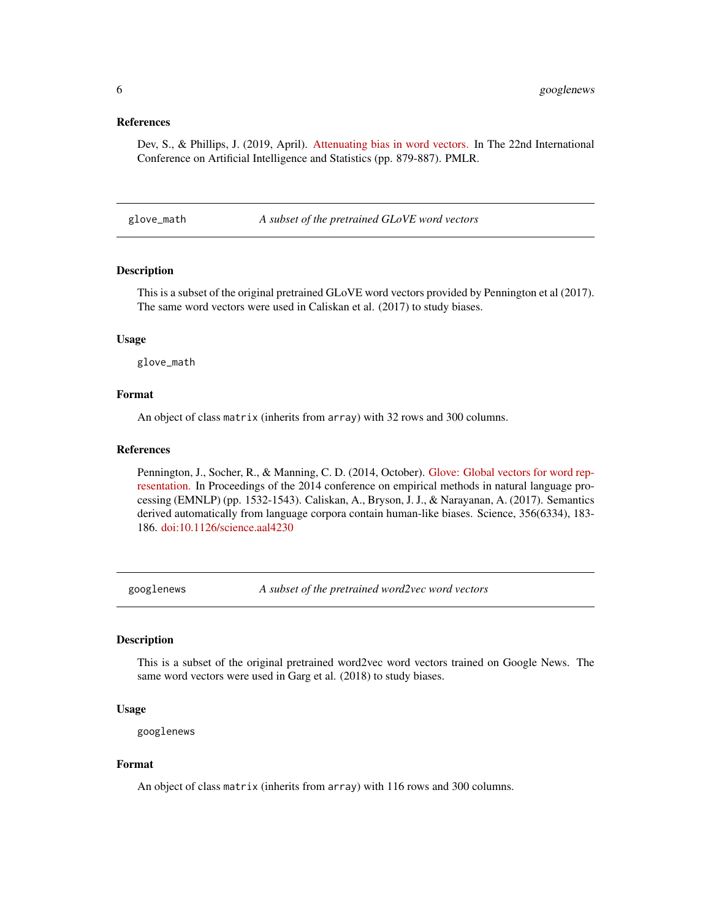#### <span id="page-5-0"></span>References

Dev, S., & Phillips, J. (2019, April). [Attenuating bias in word vectors.](https://proceedings.mlr.press/v89/dev19a.html) In The 22nd International Conference on Artificial Intelligence and Statistics (pp. 879-887). PMLR.

glove\_math *A subset of the pretrained GLoVE word vectors*

#### Description

This is a subset of the original pretrained GLoVE word vectors provided by Pennington et al (2017). The same word vectors were used in Caliskan et al. (2017) to study biases.

#### Usage

glove\_math

#### Format

An object of class matrix (inherits from array) with 32 rows and 300 columns.

#### References

Pennington, J., Socher, R., & Manning, C. D. (2014, October). [Glove: Global vectors for word rep](https://aclanthology.org/D14-1162/)[resentation.](https://aclanthology.org/D14-1162/) In Proceedings of the 2014 conference on empirical methods in natural language processing (EMNLP) (pp. 1532-1543). Caliskan, A., Bryson, J. J., & Narayanan, A. (2017). Semantics derived automatically from language corpora contain human-like biases. Science, 356(6334), 183- 186. [doi:10.1126/science.aal4230](https://doi.org/10.1126/science.aal4230)

googlenews *A subset of the pretrained word2vec word vectors*

#### Description

This is a subset of the original pretrained word2vec word vectors trained on Google News. The same word vectors were used in Garg et al. (2018) to study biases.

#### Usage

googlenews

#### Format

An object of class matrix (inherits from array) with 116 rows and 300 columns.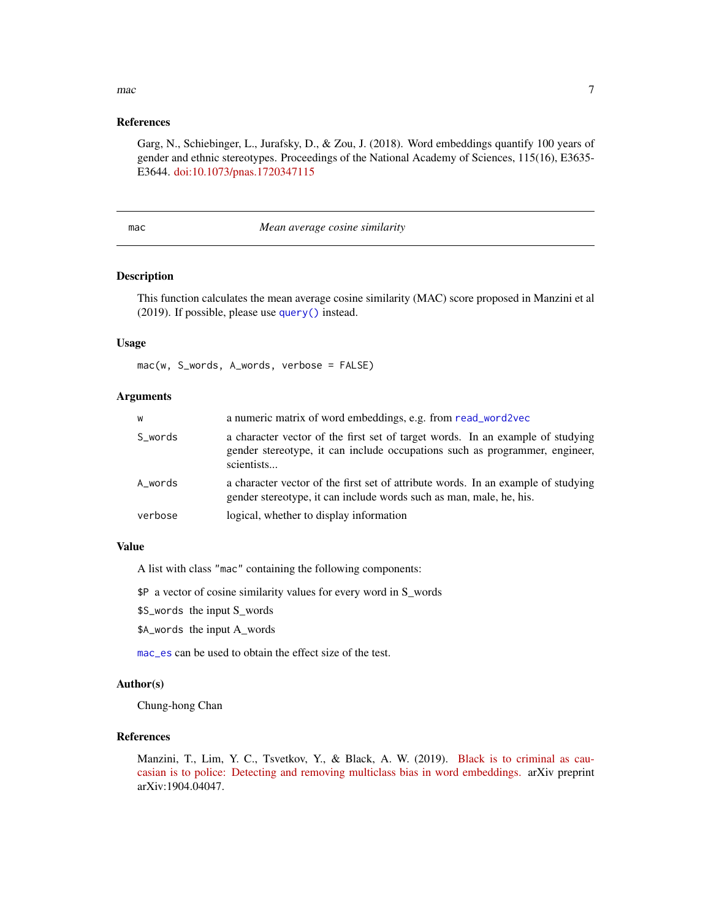### <span id="page-6-0"></span> $\Gamma$   $\sim$  7

#### References

Garg, N., Schiebinger, L., Jurafsky, D., & Zou, J. (2018). Word embeddings quantify 100 years of gender and ethnic stereotypes. Proceedings of the National Academy of Sciences, 115(16), E3635- E3644. [doi:10.1073/pnas.1720347115](https://doi.org/10.1073/pnas.1720347115)

<span id="page-6-1"></span>

#### mac *Mean average cosine similarity*

#### Description

This function calculates the mean average cosine similarity (MAC) score proposed in Manzini et al (2019). If possible, please use [query\(\)](#page-10-1) instead.

#### Usage

mac(w, S\_words, A\_words, verbose = FALSE)

#### Arguments

| W       | a numeric matrix of word embeddings, e.g. from read_word2vec                                                                                                                |
|---------|-----------------------------------------------------------------------------------------------------------------------------------------------------------------------------|
| S_words | a character vector of the first set of target words. In an example of studying<br>gender stereotype, it can include occupations such as programmer, engineer,<br>scientists |
| A words | a character vector of the first set of attribute words. In an example of studying<br>gender stereotype, it can include words such as man, male, he, his.                    |
| verbose | logical, whether to display information                                                                                                                                     |

#### Value

A list with class "mac" containing the following components:

\$P a vector of cosine similarity values for every word in S\_words

\$S\_words the input S\_words

\$A\_words the input A\_words

[mac\\_es](#page-7-1) can be used to obtain the effect size of the test.

#### Author(s)

Chung-hong Chan

#### References

Manzini, T., Lim, Y. C., Tsvetkov, Y., & Black, A. W. (2019). [Black is to criminal as cau](https://arxiv.org/abs/1904.04047)[casian is to police: Detecting and removing multiclass bias in word embeddings.](https://arxiv.org/abs/1904.04047) arXiv preprint arXiv:1904.04047.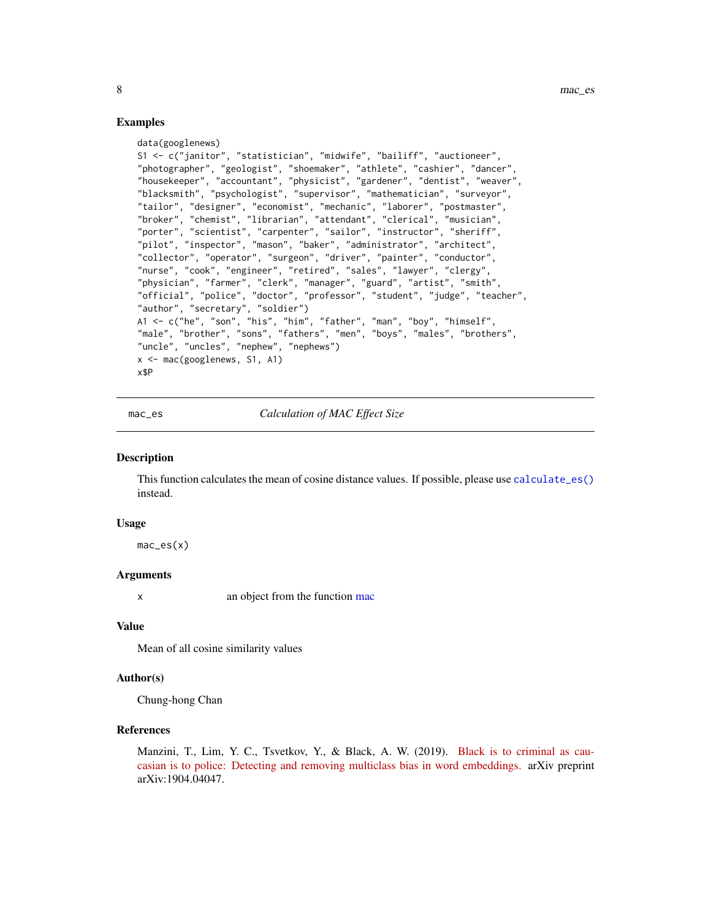#### Examples

```
data(googlenews)
S1 <- c("janitor", "statistician", "midwife", "bailiff", "auctioneer",
"photographer", "geologist", "shoemaker", "athlete", "cashier", "dancer",
"housekeeper", "accountant", "physicist", "gardener", "dentist", "weaver",
"blacksmith", "psychologist", "supervisor", "mathematician", "surveyor",
"tailor", "designer", "economist", "mechanic", "laborer", "postmaster",
"broker", "chemist", "librarian", "attendant", "clerical", "musician",
"porter", "scientist", "carpenter", "sailor", "instructor", "sheriff",
"pilot", "inspector", "mason", "baker", "administrator", "architect",
"collector", "operator", "surgeon", "driver", "painter", "conductor",
"nurse", "cook", "engineer", "retired", "sales", "lawyer", "clergy",
"physician", "farmer", "clerk", "manager", "guard", "artist", "smith",
"official", "police", "doctor", "professor", "student", "judge", "teacher",
"author", "secretary", "soldier")
A1 <- c("he", "son", "his", "him", "father", "man", "boy", "himself",
"male", "brother", "sons", "fathers", "men", "boys", "males", "brothers",
"uncle", "uncles", "nephew", "nephews")
x <- mac(googlenews, S1, A1)
x$P
```
<span id="page-7-1"></span>mac\_es *Calculation of MAC Effect Size*

#### Description

This function calculates the mean of cosine distance values. If possible, please use [calculate\\_es\(\)](#page-1-1) instead.

#### Usage

 $mac\_es(x)$ 

#### Arguments

x an object from the function [mac](#page-6-1)

#### Value

Mean of all cosine similarity values

#### Author(s)

Chung-hong Chan

#### References

Manzini, T., Lim, Y. C., Tsvetkov, Y., & Black, A. W. (2019). [Black is to criminal as cau](https://arxiv.org/abs/1904.04047)[casian is to police: Detecting and removing multiclass bias in word embeddings.](https://arxiv.org/abs/1904.04047) arXiv preprint arXiv:1904.04047.

<span id="page-7-0"></span>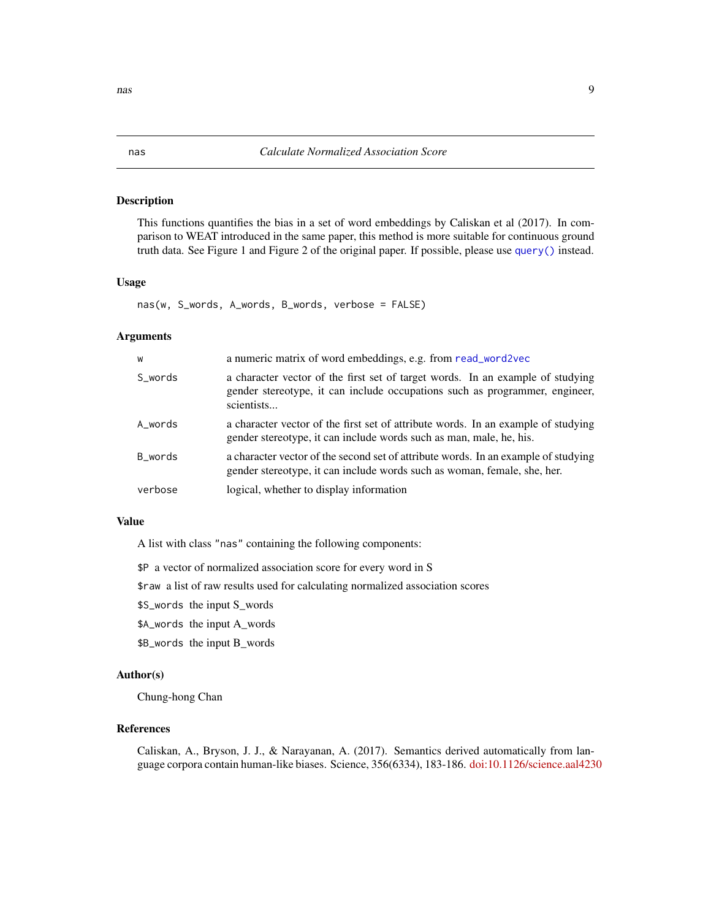<span id="page-8-1"></span><span id="page-8-0"></span>This functions quantifies the bias in a set of word embeddings by Caliskan et al (2017). In comparison to WEAT introduced in the same paper, this method is more suitable for continuous ground truth data. See Figure 1 and Figure 2 of the original paper. If possible, please use [query\(\)](#page-10-1) instead.

#### Usage

nas(w, S\_words, A\_words, B\_words, verbose = FALSE)

#### Arguments

| W       | a numeric matrix of word embeddings, e.g. from read_word2vec                                                                                                                |
|---------|-----------------------------------------------------------------------------------------------------------------------------------------------------------------------------|
| S_words | a character vector of the first set of target words. In an example of studying<br>gender stereotype, it can include occupations such as programmer, engineer,<br>scientists |
| A_words | a character vector of the first set of attribute words. In an example of studying<br>gender stereotype, it can include words such as man, male, he, his.                    |
| B_words | a character vector of the second set of attribute words. In an example of studying<br>gender stereotype, it can include words such as woman, female, she, her.              |
| verbose | logical, whether to display information                                                                                                                                     |
|         |                                                                                                                                                                             |

#### Value

A list with class "nas" containing the following components:

\$P a vector of normalized association score for every word in S

\$raw a list of raw results used for calculating normalized association scores

\$S\_words the input S\_words

\$A\_words the input A\_words

\$B\_words the input B\_words

#### Author(s)

Chung-hong Chan

#### References

Caliskan, A., Bryson, J. J., & Narayanan, A. (2017). Semantics derived automatically from language corpora contain human-like biases. Science, 356(6334), 183-186. [doi:10.1126/science.aal4230](https://doi.org/10.1126/science.aal4230)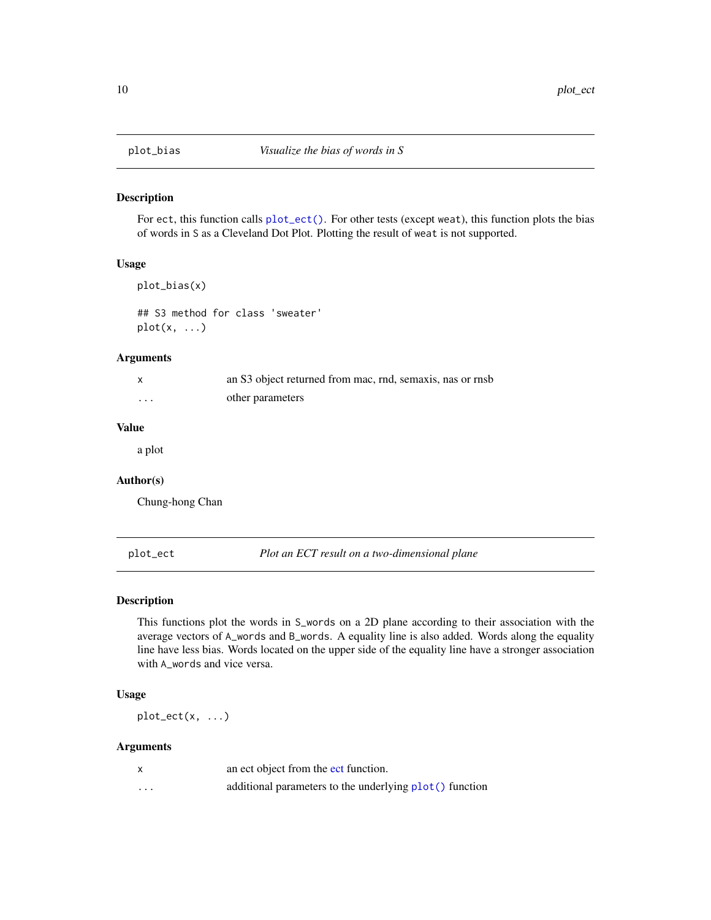<span id="page-9-2"></span><span id="page-9-0"></span>

For ect, this function calls [plot\\_ect\(\)](#page-9-1). For other tests (except weat), this function plots the bias of words in S as a Cleveland Dot Plot. Plotting the result of weat is not supported.

#### Usage

```
plot_bias(x)
```
## S3 method for class 'sweater'  $plot(x, \ldots)$ 

#### Arguments

|         | an S3 object returned from mac, rnd, semaxis, nas or rnsb |
|---------|-----------------------------------------------------------|
| $\cdot$ | other parameters                                          |

#### Value

a plot

#### Author(s)

Chung-hong Chan

<span id="page-9-1"></span>plot\_ect *Plot an ECT result on a two-dimensional plane*

#### Description

This functions plot the words in S\_words on a 2D plane according to their association with the average vectors of A\_words and B\_words. A equality line is also added. Words along the equality line have less bias. Words located on the upper side of the equality line have a stronger association with A\_words and vice versa.

#### Usage

 $plot\_ect(x, \ldots)$ 

#### Arguments

|          | an ect object from the ect function.                    |
|----------|---------------------------------------------------------|
| $\cdots$ | additional parameters to the underlying plot() function |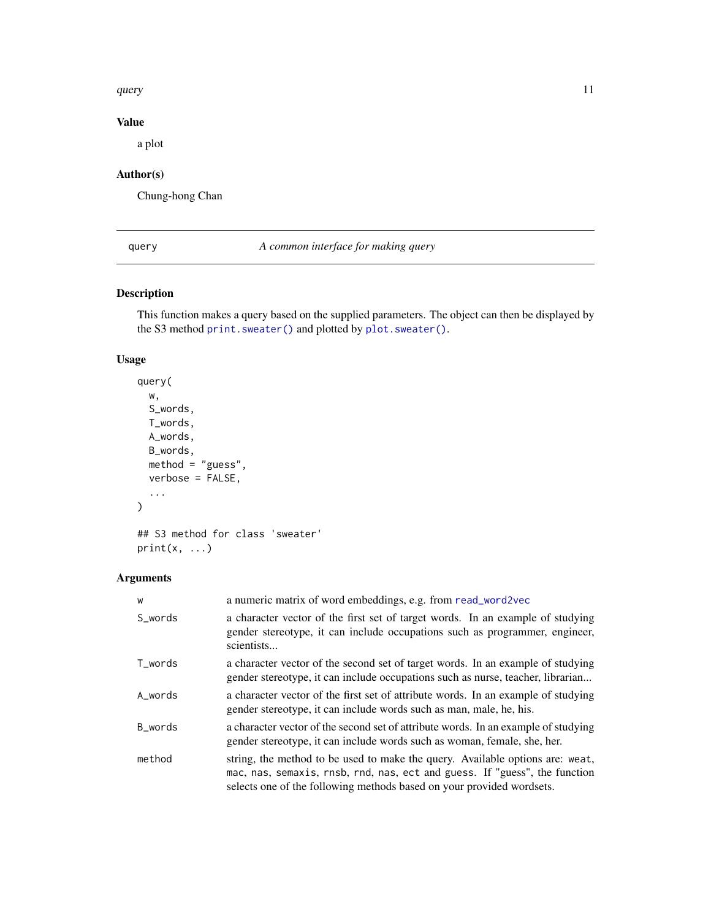#### <span id="page-10-0"></span>query and the contract of the contract of the contract of the contract of the contract of the contract of the contract of the contract of the contract of the contract of the contract of the contract of the contract of the

#### Value

a plot

### Author(s)

Chung-hong Chan

<span id="page-10-1"></span>query *A common interface for making query*

#### <span id="page-10-2"></span>Description

This function makes a query based on the supplied parameters. The object can then be displayed by the S3 method [print.sweater\(\)](#page-10-2) and plotted by [plot.sweater\(\)](#page-9-2).

#### Usage

```
query(
  w,
  S_words,
  T_words,
  A_words,
  B_words,
  method = "guess",
  verbose = FALSE,
  ...
\mathcal{L}## S3 method for class 'sweater'
```

```
print(x, \ldots)
```
#### Arguments

| W       | a numeric matrix of word embeddings, e.g. from read_word2vec                                                                                                                                                                         |
|---------|--------------------------------------------------------------------------------------------------------------------------------------------------------------------------------------------------------------------------------------|
| S words | a character vector of the first set of target words. In an example of studying<br>gender stereotype, it can include occupations such as programmer, engineer,<br>scientists                                                          |
| T_words | a character vector of the second set of target words. In an example of studying<br>gender stereotype, it can include occupations such as nurse, teacher, librarian                                                                   |
| A_words | a character vector of the first set of attribute words. In an example of studying<br>gender stereotype, it can include words such as man, male, he, his.                                                                             |
| B_words | a character vector of the second set of attribute words. In an example of studying<br>gender stereotype, it can include words such as woman, female, she, her.                                                                       |
| method  | string, the method to be used to make the query. Available options are: weat,<br>mac, nas, semaxis, rnsb, rnd, nas, ect and guess. If "guess", the function<br>selects one of the following methods based on your provided wordsets. |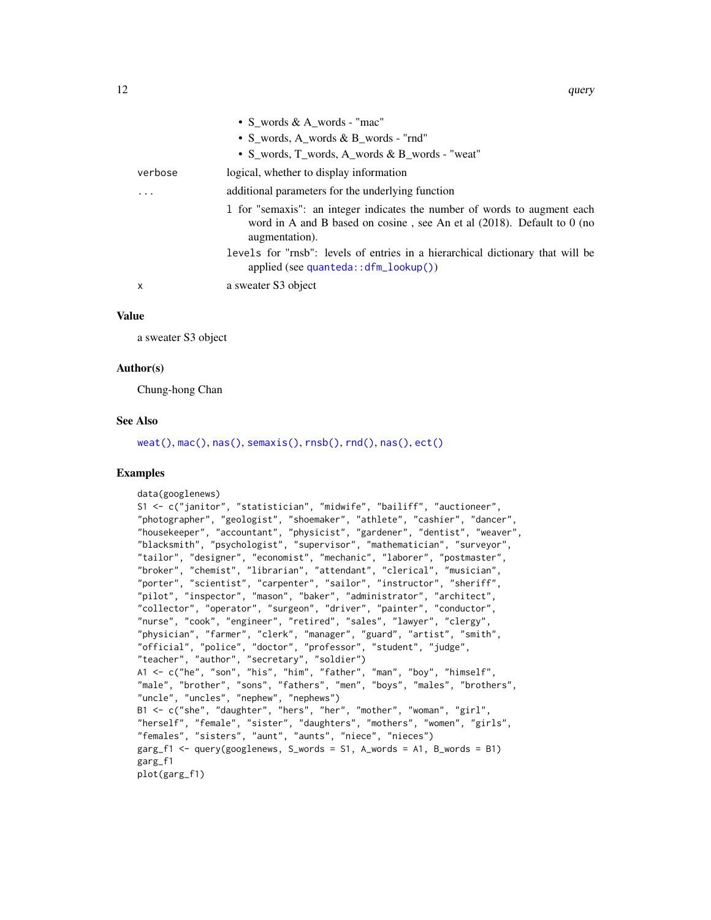<span id="page-11-0"></span>

|                         | • S_words & A_words - "mac"                                                                                                                                              |
|-------------------------|--------------------------------------------------------------------------------------------------------------------------------------------------------------------------|
|                         | • S_words, A_words & B_words - "rnd"                                                                                                                                     |
|                         | • S_words, T_words, A_words & B_words - "weat"                                                                                                                           |
| verbose                 | logical, whether to display information                                                                                                                                  |
| $\cdot$ $\cdot$ $\cdot$ | additional parameters for the underlying function                                                                                                                        |
|                         | 1 for "semaxis": an integer indicates the number of words to augment each<br>word in A and B based on cosine, see An et al $(2018)$ . Default to 0 (no<br>augmentation). |
|                         | levels for "rnsb": levels of entries in a hierarchical dictionary that will be<br>applied (see quanteda:: $dfm\_lookup()$ )                                              |
| X                       | a sweater S3 object                                                                                                                                                      |
|                         |                                                                                                                                                                          |

#### Value

a sweater S3 object

#### Author(s)

Chung-hong Chan

#### See Also

[weat\(\)](#page-18-1), [mac\(\)](#page-6-1), [nas\(\)](#page-8-1), [semaxis\(\)](#page-17-1), [rnsb\(\)](#page-14-2), [rnd\(\)](#page-12-2), [nas\(\)](#page-8-1), [ect\(\)](#page-3-1)

```
data(googlenews)
S1 <- c("janitor", "statistician", "midwife", "bailiff", "auctioneer",
"photographer", "geologist", "shoemaker", "athlete", "cashier", "dancer",
"housekeeper", "accountant", "physicist", "gardener", "dentist", "weaver",
"blacksmith", "psychologist", "supervisor", "mathematician", "surveyor",
"tailor", "designer", "economist", "mechanic", "laborer", "postmaster",
"broker", "chemist", "librarian", "attendant", "clerical", "musician",
"porter", "scientist", "carpenter", "sailor", "instructor", "sheriff",
"pilot", "inspector", "mason", "baker", "administrator", "architect",
"collector", "operator", "surgeon", "driver", "painter", "conductor",
"nurse", "cook", "engineer", "retired", "sales", "lawyer", "clergy",
"physician", "farmer", "clerk", "manager", "guard", "artist", "smith",
"official", "police", "doctor", "professor", "student", "judge",
"teacher", "author", "secretary", "soldier")
A1 <- c("he", "son", "his", "him", "father", "man", "boy", "himself",
"male", "brother", "sons", "fathers", "men", "boys", "males", "brothers",
"uncle", "uncles", "nephew", "nephews")
B1 <- c("she", "daughter", "hers", "her", "mother", "woman", "girl",
"herself", "female", "sister", "daughters", "mothers", "women", "girls",
"females", "sisters", "aunt", "aunts", "niece", "nieces")
garg_f1 <- query(googlenews, S_words = S1, A_words = A1, B_words = B1)
garg_f1
plot(garg_f1)
```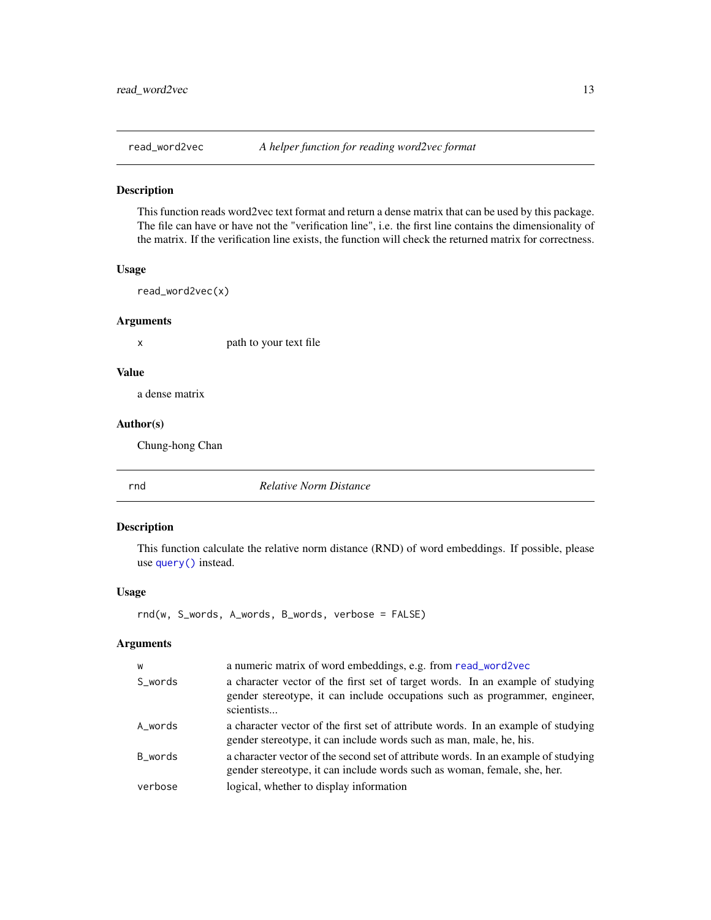<span id="page-12-1"></span><span id="page-12-0"></span>

This function reads word2vec text format and return a dense matrix that can be used by this package. The file can have or have not the "verification line", i.e. the first line contains the dimensionality of the matrix. If the verification line exists, the function will check the returned matrix for correctness.

#### Usage

read\_word2vec(x)

#### Arguments

x path to your text file

#### Value

a dense matrix

#### Author(s)

Chung-hong Chan

<span id="page-12-2"></span>rnd *Relative Norm Distance*

#### Description

This function calculate the relative norm distance (RND) of word embeddings. If possible, please use [query\(\)](#page-10-1) instead.

#### Usage

rnd(w, S\_words, A\_words, B\_words, verbose = FALSE)

#### Arguments

| W       | a numeric matrix of word embeddings, e.g. from read_word2vec                                                                                                                |
|---------|-----------------------------------------------------------------------------------------------------------------------------------------------------------------------------|
| S_words | a character vector of the first set of target words. In an example of studying<br>gender stereotype, it can include occupations such as programmer, engineer,<br>scientists |
| A_words | a character vector of the first set of attribute words. In an example of studying<br>gender stereotype, it can include words such as man, male, he, his.                    |
| B words | a character vector of the second set of attribute words. In an example of studying<br>gender stereotype, it can include words such as woman, female, she, her.              |
| verbose | logical, whether to display information                                                                                                                                     |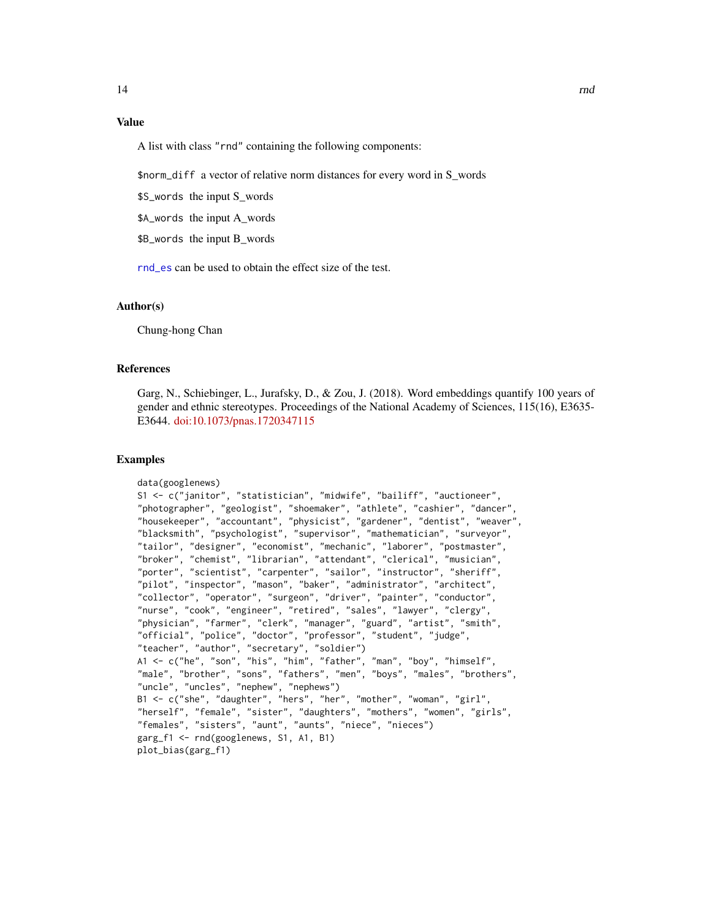#### <span id="page-13-0"></span>Value

A list with class "rnd" containing the following components:

\$norm\_diff a vector of relative norm distances for every word in S\_words

\$S\_words the input S\_words

\$A\_words the input A\_words

\$B\_words the input B\_words

[rnd\\_es](#page-14-1) can be used to obtain the effect size of the test.

#### Author(s)

Chung-hong Chan

#### References

Garg, N., Schiebinger, L., Jurafsky, D., & Zou, J. (2018). Word embeddings quantify 100 years of gender and ethnic stereotypes. Proceedings of the National Academy of Sciences, 115(16), E3635- E3644. [doi:10.1073/pnas.1720347115](https://doi.org/10.1073/pnas.1720347115)

```
data(googlenews)
S1 <- c("janitor", "statistician", "midwife", "bailiff", "auctioneer",
"photographer", "geologist", "shoemaker", "athlete", "cashier", "dancer",
"housekeeper", "accountant", "physicist", "gardener", "dentist", "weaver",
"blacksmith", "psychologist", "supervisor", "mathematician", "surveyor",
"tailor", "designer", "economist", "mechanic", "laborer", "postmaster",
"broker", "chemist", "librarian", "attendant", "clerical", "musician",
"porter", "scientist", "carpenter", "sailor", "instructor", "sheriff",
"pilot", "inspector", "mason", "baker", "administrator", "architect",
"collector", "operator", "surgeon", "driver", "painter", "conductor",
"nurse", "cook", "engineer", "retired", "sales", "lawyer", "clergy",
"physician", "farmer", "clerk", "manager", "guard", "artist", "smith",
"official", "police", "doctor", "professor", "student", "judge",
"teacher", "author", "secretary", "soldier")
A1 <- c("he", "son", "his", "him", "father", "man", "boy", "himself",
"male", "brother", "sons", "fathers", "men", "boys", "males", "brothers",
"uncle", "uncles", "nephew", "nephews")
B1 <- c("she", "daughter", "hers", "her", "mother", "woman", "girl",
"herself", "female", "sister", "daughters", "mothers", "women", "girls",
"females", "sisters", "aunt", "aunts", "niece", "nieces")
garg_f1 <- rnd(googlenews, S1, A1, B1)
plot_bias(garg_f1)
```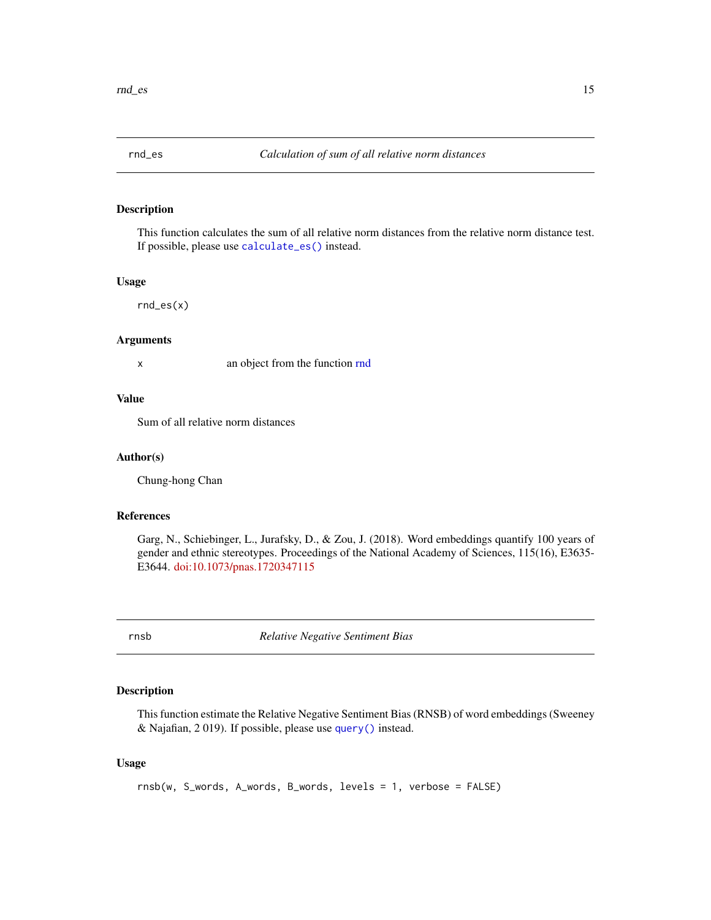<span id="page-14-1"></span><span id="page-14-0"></span>

This function calculates the sum of all relative norm distances from the relative norm distance test. If possible, please use [calculate\\_es\(\)](#page-1-1) instead.

#### Usage

rnd\_es(x)

#### Arguments

x an object from the function [rnd](#page-12-2)

#### Value

Sum of all relative norm distances

#### Author(s)

Chung-hong Chan

#### References

Garg, N., Schiebinger, L., Jurafsky, D., & Zou, J. (2018). Word embeddings quantify 100 years of gender and ethnic stereotypes. Proceedings of the National Academy of Sciences, 115(16), E3635- E3644. [doi:10.1073/pnas.1720347115](https://doi.org/10.1073/pnas.1720347115)

<span id="page-14-2"></span>rnsb *Relative Negative Sentiment Bias*

#### Description

This function estimate the Relative Negative Sentiment Bias (RNSB) of word embeddings (Sweeney & Najafian, 2 019). If possible, please use [query\(\)](#page-10-1) instead.

#### Usage

rnsb(w, S\_words, A\_words, B\_words, levels = 1, verbose = FALSE)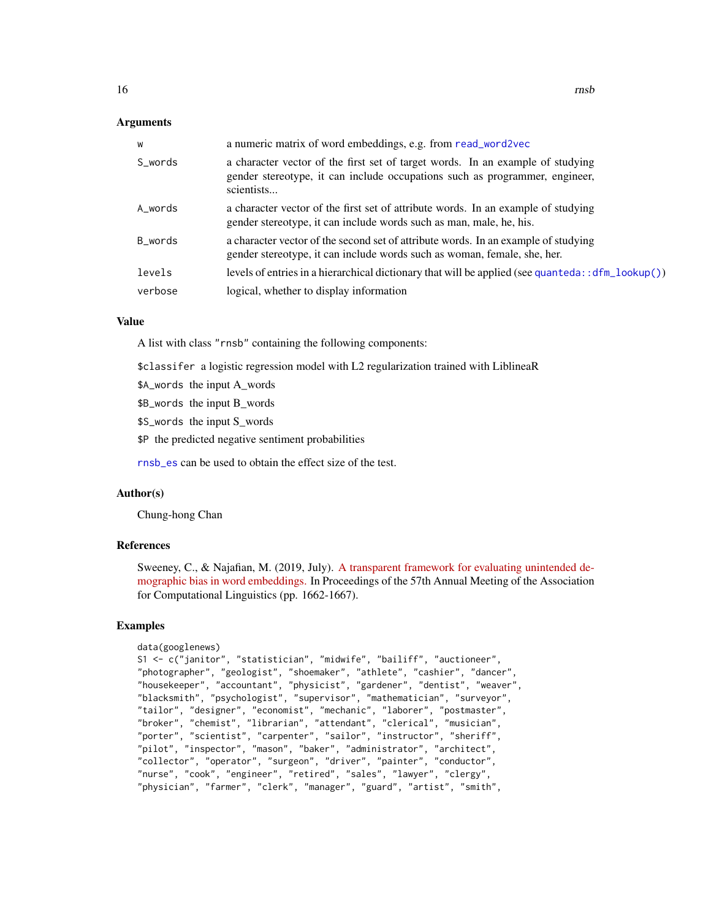#### <span id="page-15-0"></span>Arguments

| W       | a numeric matrix of word embeddings, e.g. from read_word2vec                                                                                                                |
|---------|-----------------------------------------------------------------------------------------------------------------------------------------------------------------------------|
| S_words | a character vector of the first set of target words. In an example of studying<br>gender stereotype, it can include occupations such as programmer, engineer,<br>scientists |
| A_words | a character vector of the first set of attribute words. In an example of studying<br>gender stereotype, it can include words such as man, male, he, his.                    |
| B_words | a character vector of the second set of attribute words. In an example of studying<br>gender stereotype, it can include words such as woman, female, she, her.              |
| levels  | levels of entries in a hierarchical dictionary that will be applied (see quanteda: : $dfm\_lookup()$ )                                                                      |
| verbose | logical, whether to display information                                                                                                                                     |

#### Value

A list with class "rnsb" containing the following components:

\$classifer a logistic regression model with L2 regularization trained with LiblineaR

\$A\_words the input A\_words

\$B\_words the input B\_words

\$S\_words the input S\_words

\$P the predicted negative sentiment probabilities

[rnsb\\_es](#page-16-1) can be used to obtain the effect size of the test.

#### Author(s)

Chung-hong Chan

#### References

Sweeney, C., & Najafian, M. (2019, July). [A transparent framework for evaluating unintended de](https://aclanthology.org/P19-1162/)[mographic bias in word embeddings.](https://aclanthology.org/P19-1162/) In Proceedings of the 57th Annual Meeting of the Association for Computational Linguistics (pp. 1662-1667).

```
data(googlenews)
S1 <- c("janitor", "statistician", "midwife", "bailiff", "auctioneer",
"photographer", "geologist", "shoemaker", "athlete", "cashier", "dancer",
"housekeeper", "accountant", "physicist", "gardener", "dentist", "weaver",
"blacksmith", "psychologist", "supervisor", "mathematician", "surveyor",
"tailor", "designer", "economist", "mechanic", "laborer", "postmaster",
"broker", "chemist", "librarian", "attendant", "clerical", "musician",
"porter", "scientist", "carpenter", "sailor", "instructor", "sheriff",
"pilot", "inspector", "mason", "baker", "administrator", "architect",
"collector", "operator", "surgeon", "driver", "painter", "conductor",
"nurse", "cook", "engineer", "retired", "sales", "lawyer", "clergy",
"physician", "farmer", "clerk", "manager", "guard", "artist", "smith",
```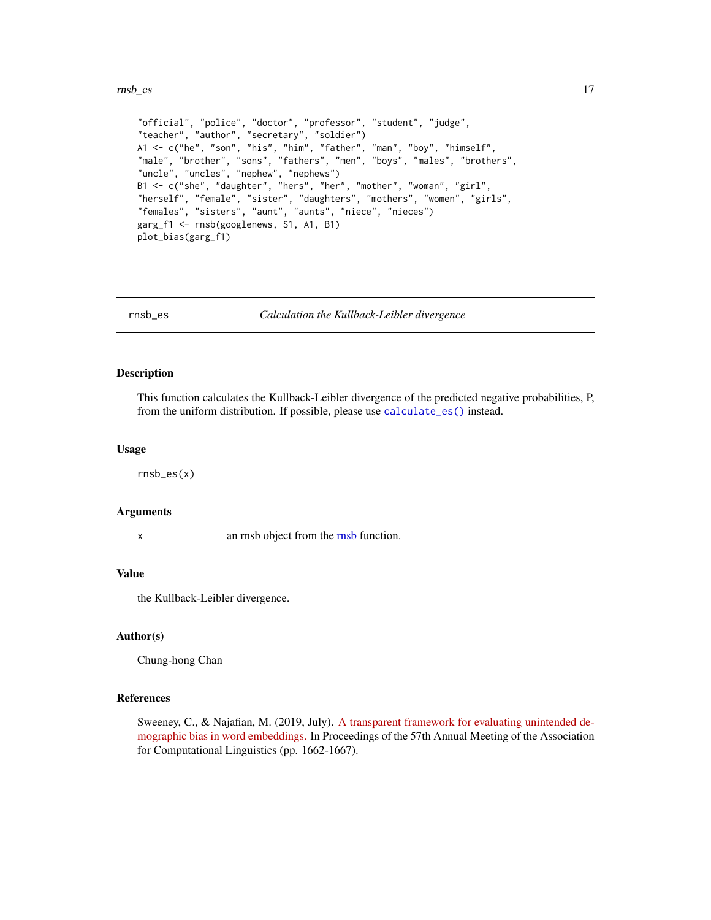#### <span id="page-16-0"></span> $\frac{17}{2}$

```
"official", "police", "doctor", "professor", "student", "judge",
"teacher", "author", "secretary", "soldier")
A1 <- c("he", "son", "his", "him", "father", "man", "boy", "himself",
"male", "brother", "sons", "fathers", "men", "boys", "males", "brothers",
"uncle", "uncles", "nephew", "nephews")
B1 <- c("she", "daughter", "hers", "her", "mother", "woman", "girl",
"herself", "female", "sister", "daughters", "mothers", "women", "girls",
"females", "sisters", "aunt", "aunts", "niece", "nieces")
garg_f1 <- rnsb(googlenews, S1, A1, B1)
plot_bias(garg_f1)
```
<span id="page-16-1"></span>

rnsb\_es *Calculation the Kullback-Leibler divergence*

#### Description

This function calculates the Kullback-Leibler divergence of the predicted negative probabilities, P, from the uniform distribution. If possible, please use [calculate\\_es\(\)](#page-1-1) instead.

#### Usage

rnsb\_es(x)

#### Arguments

x an rnsb object from the [rnsb](#page-14-2) function.

#### Value

the Kullback-Leibler divergence.

#### Author(s)

Chung-hong Chan

#### References

Sweeney, C., & Najafian, M. (2019, July). [A transparent framework for evaluating unintended de](https://aclanthology.org/P19-1162/)[mographic bias in word embeddings.](https://aclanthology.org/P19-1162/) In Proceedings of the 57th Annual Meeting of the Association for Computational Linguistics (pp. 1662-1667).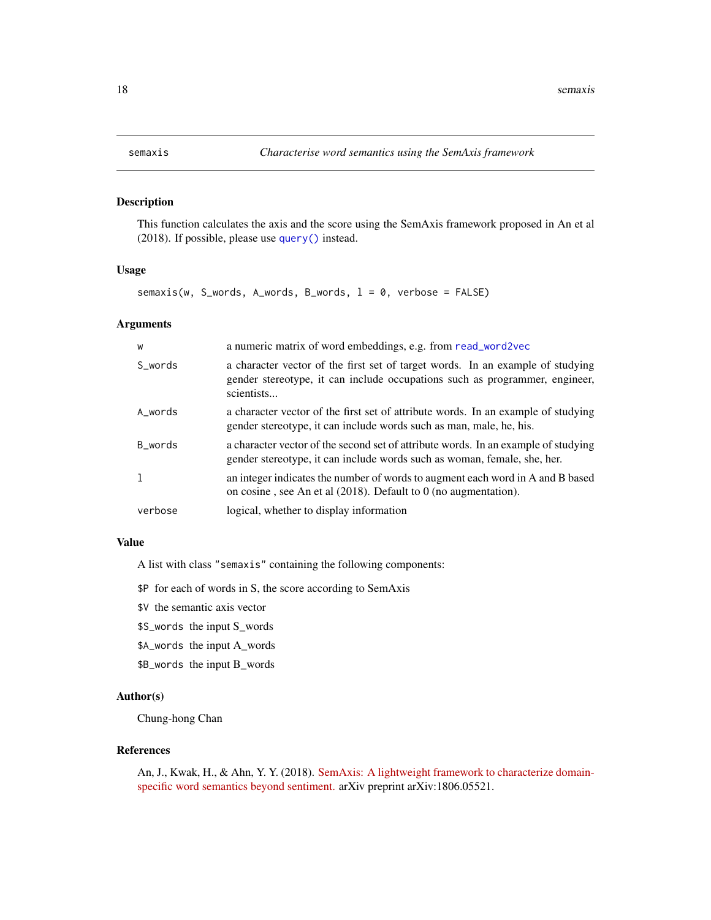This function calculates the axis and the score using the SemAxis framework proposed in An et al (2018). If possible, please use [query\(\)](#page-10-1) instead.

#### Usage

 $semaxis(w, S_words, A_words, B_words, 1 = 0, verbose = FALSE)$ 

#### Arguments

| W       | a numeric matrix of word embeddings, e.g. from read_word2vec                                                                                                                |
|---------|-----------------------------------------------------------------------------------------------------------------------------------------------------------------------------|
| S words | a character vector of the first set of target words. In an example of studying<br>gender stereotype, it can include occupations such as programmer, engineer,<br>scientists |
| A_words | a character vector of the first set of attribute words. In an example of studying<br>gender stereotype, it can include words such as man, male, he, his.                    |
| B words | a character vector of the second set of attribute words. In an example of studying<br>gender stereotype, it can include words such as woman, female, she, her.              |
|         | an integer indicates the number of words to augment each word in A and B based<br>on cosine, see An et al $(2018)$ . Default to 0 (no augmentation).                        |
| verbose | logical, whether to display information                                                                                                                                     |

#### Value

A list with class "semaxis" containing the following components:

\$P for each of words in S, the score according to SemAxis

- \$V the semantic axis vector
- \$S\_words the input S\_words
- \$A\_words the input A\_words
- \$B\_words the input B\_words

#### Author(s)

Chung-hong Chan

#### References

An, J., Kwak, H., & Ahn, Y. Y. (2018). [SemAxis: A lightweight framework to characterize domain](https://arxiv.org/abs/1806.05521)[specific word semantics beyond sentiment.](https://arxiv.org/abs/1806.05521) arXiv preprint arXiv:1806.05521.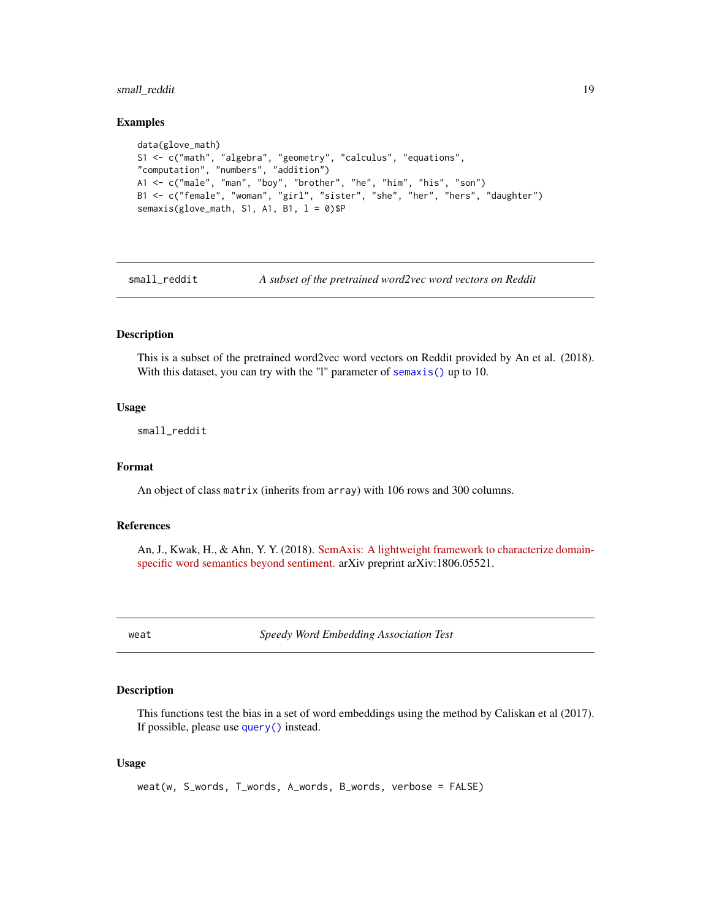#### <span id="page-18-0"></span>small\_reddit 19

#### Examples

```
data(glove_math)
S1 <- c("math", "algebra", "geometry", "calculus", "equations",
"computation", "numbers", "addition")
A1 <- c("male", "man", "boy", "brother", "he", "him", "his", "son")
B1 <- c("female", "woman", "girl", "sister", "she", "her", "hers", "daughter")
semaxis(glove_math, S1, A1, B1, l = 0)$P
```
small\_reddit *A subset of the pretrained word2vec word vectors on Reddit*

#### Description

This is a subset of the pretrained word2vec word vectors on Reddit provided by An et al. (2018). With this dataset, you can try with the "l" parameter of [semaxis\(\)](#page-17-1) up to 10.

#### Usage

small\_reddit

#### Format

An object of class matrix (inherits from array) with 106 rows and 300 columns.

#### References

An, J., Kwak, H., & Ahn, Y. Y. (2018). [SemAxis: A lightweight framework to characterize domain](https://arxiv.org/abs/1806.05521)[specific word semantics beyond sentiment.](https://arxiv.org/abs/1806.05521) arXiv preprint arXiv:1806.05521.

<span id="page-18-1"></span>weat *Speedy Word Embedding Association Test*

#### Description

This functions test the bias in a set of word embeddings using the method by Caliskan et al (2017). If possible, please use [query\(\)](#page-10-1) instead.

#### Usage

weat(w, S\_words, T\_words, A\_words, B\_words, verbose = FALSE)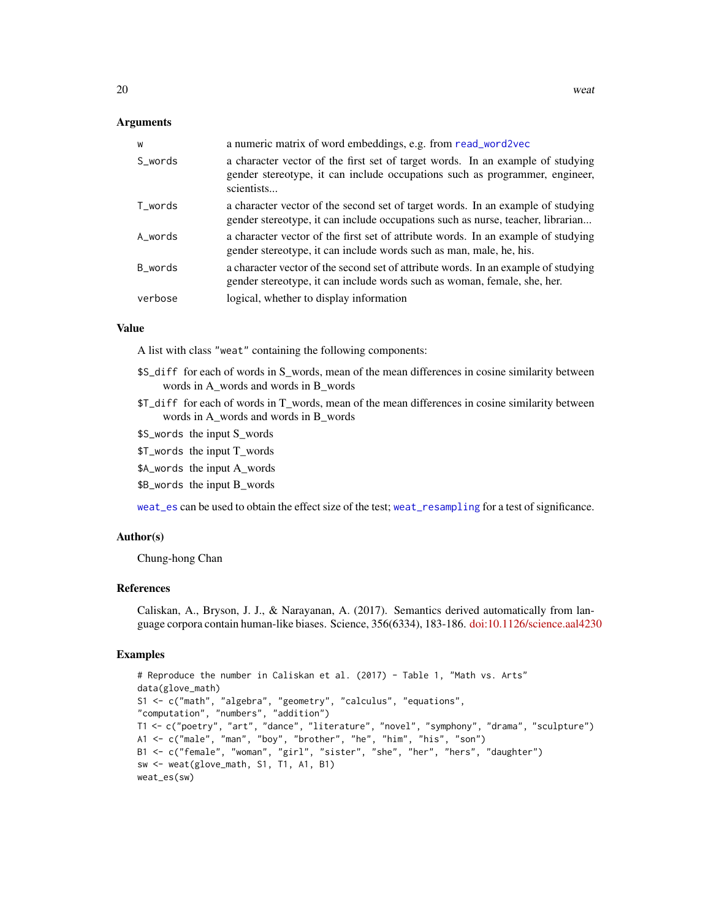#### <span id="page-19-0"></span>Arguments

| W       | a numeric matrix of word embeddings, e.g. from read_word2vec                                                                                                                |
|---------|-----------------------------------------------------------------------------------------------------------------------------------------------------------------------------|
| S_words | a character vector of the first set of target words. In an example of studying<br>gender stereotype, it can include occupations such as programmer, engineer,<br>scientists |
| T_words | a character vector of the second set of target words. In an example of studying<br>gender stereotype, it can include occupations such as nurse, teacher, librarian          |
| A_words | a character vector of the first set of attribute words. In an example of studying<br>gender stereotype, it can include words such as man, male, he, his.                    |
| B_words | a character vector of the second set of attribute words. In an example of studying<br>gender stereotype, it can include words such as woman, female, she, her.              |
| verbose | logical, whether to display information                                                                                                                                     |

#### Value

A list with class "weat" containing the following components:

- \$S\_diff for each of words in S\_words, mean of the mean differences in cosine similarity between words in A\_words and words in B\_words
- \$T\_diff for each of words in T\_words, mean of the mean differences in cosine similarity between words in A\_words and words in B\_words
- \$S\_words the input S\_words
- \$T\_words the input T\_words
- \$A\_words the input A\_words
- \$B\_words the input B\_words

[weat\\_es](#page-20-1) can be used to obtain the effect size of the test; [weat\\_resampling](#page-21-1) for a test of significance.

#### Author(s)

Chung-hong Chan

#### References

Caliskan, A., Bryson, J. J., & Narayanan, A. (2017). Semantics derived automatically from language corpora contain human-like biases. Science, 356(6334), 183-186. [doi:10.1126/science.aal4230](https://doi.org/10.1126/science.aal4230)

```
# Reproduce the number in Caliskan et al. (2017) - Table 1, "Math vs. Arts"
data(glove_math)
S1 <- c("math", "algebra", "geometry", "calculus", "equations",
"computation", "numbers", "addition")
T1 <- c("poetry", "art", "dance", "literature", "novel", "symphony", "drama", "sculpture")
A1 <- c("male", "man", "boy", "brother", "he", "him", "his", "son")
B1 <- c("female", "woman", "girl", "sister", "she", "her", "hers", "daughter")
sw <- weat(glove_math, S1, T1, A1, B1)
weat_es(sw)
```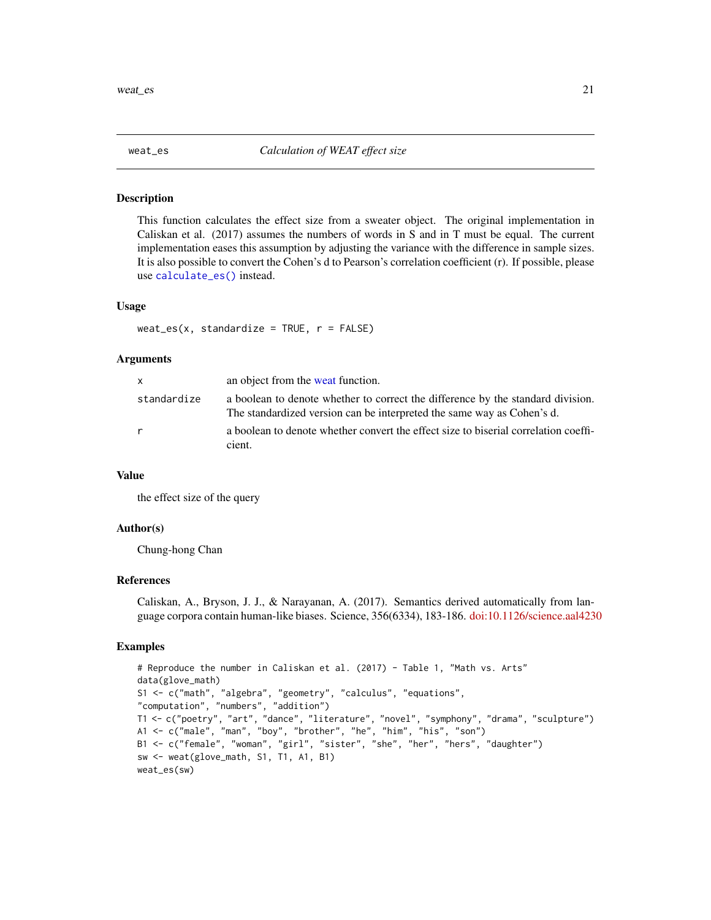<span id="page-20-1"></span><span id="page-20-0"></span>

This function calculates the effect size from a sweater object. The original implementation in Caliskan et al. (2017) assumes the numbers of words in S and in T must be equal. The current implementation eases this assumption by adjusting the variance with the difference in sample sizes. It is also possible to convert the Cohen's d to Pearson's correlation coefficient (r). If possible, please use [calculate\\_es\(\)](#page-1-1) instead.

#### Usage

```
weat_es(x, standardize = TRUE, r = FALSE)
```
#### Arguments

| X           | an object from the weat function.                                                                                                                         |
|-------------|-----------------------------------------------------------------------------------------------------------------------------------------------------------|
| standardize | a boolean to denote whether to correct the difference by the standard division.<br>The standardized version can be interpreted the same way as Cohen's d. |
| r           | a boolean to denote whether convert the effect size to biserial correlation coeffi-<br>cient.                                                             |

#### Value

the effect size of the query

#### Author(s)

Chung-hong Chan

#### References

Caliskan, A., Bryson, J. J., & Narayanan, A. (2017). Semantics derived automatically from language corpora contain human-like biases. Science, 356(6334), 183-186. [doi:10.1126/science.aal4230](https://doi.org/10.1126/science.aal4230)

```
# Reproduce the number in Caliskan et al. (2017) - Table 1, "Math vs. Arts"
data(glove_math)
S1 <- c("math", "algebra", "geometry", "calculus", "equations",
"computation", "numbers", "addition")
T1 <- c("poetry", "art", "dance", "literature", "novel", "symphony", "drama", "sculpture")
A1 <- c("male", "man", "boy", "brother", "he", "him", "his", "son")
B1 <- c("female", "woman", "girl", "sister", "she", "her", "hers", "daughter")
sw <- weat(glove_math, S1, T1, A1, B1)
weat_es(sw)
```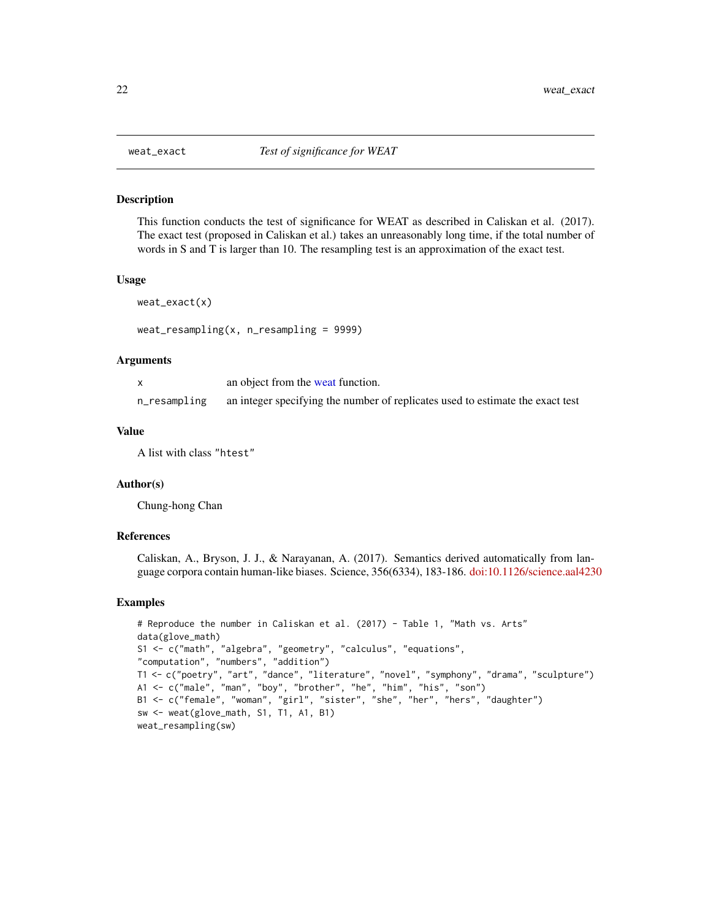<span id="page-21-1"></span><span id="page-21-0"></span>

This function conducts the test of significance for WEAT as described in Caliskan et al. (2017). The exact test (proposed in Caliskan et al.) takes an unreasonably long time, if the total number of words in S and T is larger than 10. The resampling test is an approximation of the exact test.

#### Usage

```
weat_exact(x)
```
weat\_resampling(x, n\_resampling = 9999)

#### Arguments

|              | an object from the weat function.                                              |
|--------------|--------------------------------------------------------------------------------|
| n_resampling | an integer specifying the number of replicates used to estimate the exact test |

#### Value

A list with class "htest"

#### Author(s)

Chung-hong Chan

#### References

Caliskan, A., Bryson, J. J., & Narayanan, A. (2017). Semantics derived automatically from language corpora contain human-like biases. Science, 356(6334), 183-186. [doi:10.1126/science.aal4230](https://doi.org/10.1126/science.aal4230)

```
# Reproduce the number in Caliskan et al. (2017) - Table 1, "Math vs. Arts"
data(glove_math)
S1 <- c("math", "algebra", "geometry", "calculus", "equations",
"computation", "numbers", "addition")
T1 <- c("poetry", "art", "dance", "literature", "novel", "symphony", "drama", "sculpture")
A1 <- c("male", "man", "boy", "brother", "he", "him", "his", "son")
B1 <- c("female", "woman", "girl", "sister", "she", "her", "hers", "daughter")
sw <- weat(glove_math, S1, T1, A1, B1)
weat_resampling(sw)
```